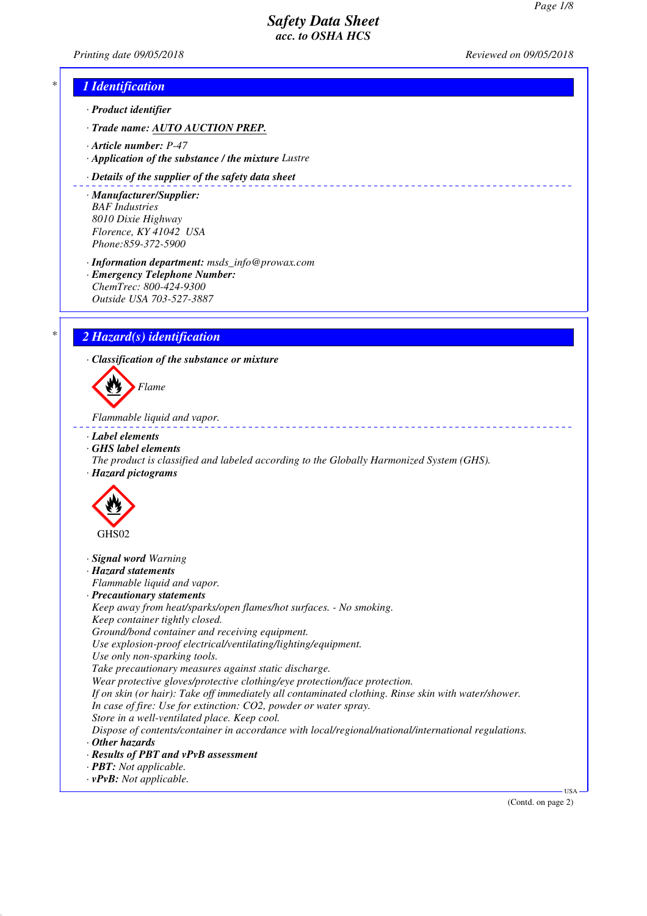<u>. . . . . . . . . . .</u>

*Printing date 09/05/2018 Reviewed on 09/05/2018*

### *\* 1 Identification*

- *· Product identifier*
- *· Trade name: AUTO AUCTION PREP.*
- *· Article number: P-47*
- *· Application of the substance / the mixture Lustre*

#### *· Details of the supplier of the safety data sheet*

- *· Manufacturer/Supplier: BAF Industries 8010 Dixie Highway Florence, KY 41042 USA Phone:859-372-5900*
- *· Information department: msds\_info@prowax.com · Emergency Telephone Number: ChemTrec: 800-424-9300*
- *Outside USA 703-527-3887*

### *\* 2 Hazard(s) identification*

*· Classification of the substance or mixture*



*Flammable liquid and vapor.* 

- *· Label elements*
- *· GHS label elements*
- *The product is classified and labeled according to the Globally Harmonized System (GHS). · Hazard pictograms*



- *· Signal word Warning*
- *· Hazard statements*
- *Flammable liquid and vapor.*
- *· Precautionary statements*
- *Keep away from heat/sparks/open flames/hot surfaces. No smoking. Keep container tightly closed.*
- *Ground/bond container and receiving equipment.*
- *Use explosion-proof electrical/ventilating/lighting/equipment.*
- *Use only non-sparking tools.*
- *Take precautionary measures against static discharge.*
- *Wear protective gloves/protective clothing/eye protection/face protection.*
- *If on skin (or hair): Take off immediately all contaminated clothing. Rinse skin with water/shower. In case of fire: Use for extinction: CO2, powder or water spray.*
- *Store in a well-ventilated place. Keep cool.*
- *Dispose of contents/container in accordance with local/regional/national/international regulations. · Other hazards*
- 
- *· Results of PBT and vPvB assessment*
- *· PBT: Not applicable.*
- *· vPvB: Not applicable.*

(Contd. on page 2)

USA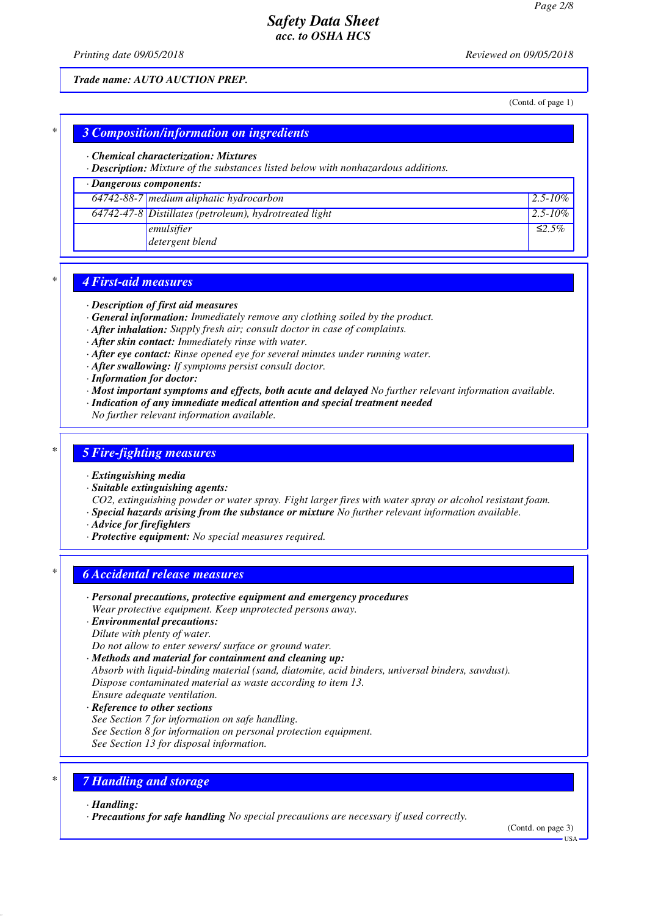*Printing date 09/05/2018 Reviewed on 09/05/2018*

*Trade name: AUTO AUCTION PREP.*

(Contd. of page 1)

#### *\* 3 Composition/information on ingredients*

#### *· Chemical characterization: Mixtures*

*· Description: Mixture of the substances listed below with nonhazardous additions.*

### *· Dangerous components:*

| $64742-88-7$ medium aliphatic hydrocarbon                | $12.5 - 10\%$ |
|----------------------------------------------------------|---------------|
| $64742-47-8$ Distillates (petroleum), hydrotreated light | $12.5 - 10\%$ |
| emulsifier                                               | $\leq 2.5\%$  |
| detergent blend                                          |               |

#### *\* 4 First-aid measures*

- *· Description of first aid measures*
- *· General information: Immediately remove any clothing soiled by the product.*
- *· After inhalation: Supply fresh air; consult doctor in case of complaints.*
- *· After skin contact: Immediately rinse with water.*
- *· After eye contact: Rinse opened eye for several minutes under running water.*
- *· After swallowing: If symptoms persist consult doctor.*
- *· Information for doctor:*
- *· Most important symptoms and effects, both acute and delayed No further relevant information available.*
- *· Indication of any immediate medical attention and special treatment needed*
- *No further relevant information available.*

#### *\* 5 Fire-fighting measures*

- *· Extinguishing media*
- *· Suitable extinguishing agents:*

*CO2, extinguishing powder or water spray. Fight larger fires with water spray or alcohol resistant foam.*

- *· Special hazards arising from the substance or mixture No further relevant information available.*
- *· Advice for firefighters*
- *· Protective equipment: No special measures required.*

### *\* 6 Accidental release measures*

- *· Personal precautions, protective equipment and emergency procedures Wear protective equipment. Keep unprotected persons away.*
- *· Environmental precautions:*
- *Dilute with plenty of water.*
- *Do not allow to enter sewers/ surface or ground water.*
- *· Methods and material for containment and cleaning up:*
- *Absorb with liquid-binding material (sand, diatomite, acid binders, universal binders, sawdust). Dispose contaminated material as waste according to item 13.*
- *Ensure adequate ventilation.*
- *· Reference to other sections*
- *See Section 7 for information on safe handling.*
- *See Section 8 for information on personal protection equipment.*
- *See Section 13 for disposal information.*

### *\* 7 Handling and storage*

#### *· Handling:*

*· Precautions for safe handling No special precautions are necessary if used correctly.*

(Contd. on page 3)

USA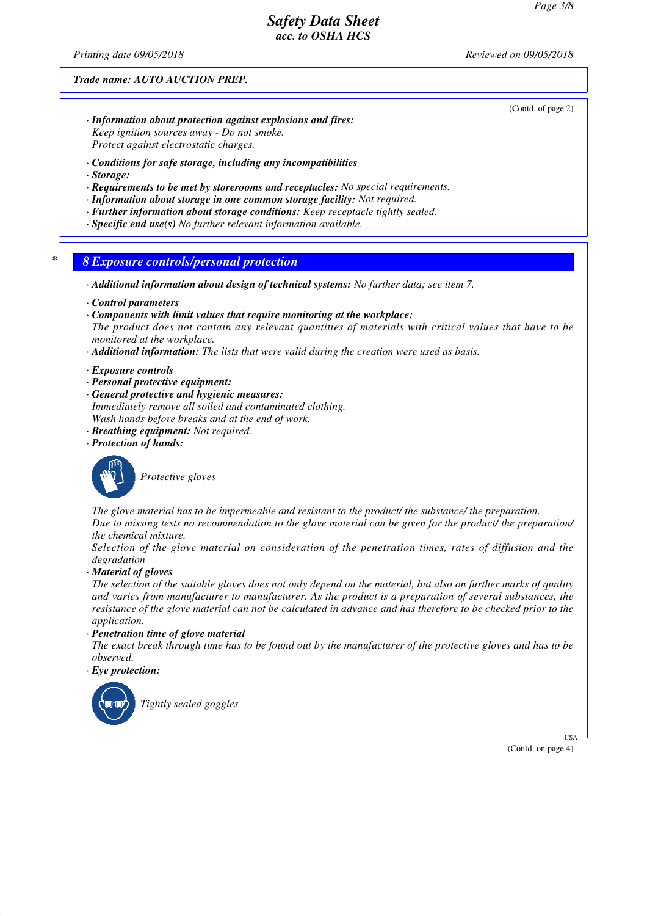*Printing date 09/05/2018 Reviewed on 09/05/2018*

#### *Trade name: AUTO AUCTION PREP.*

(Contd. of page 2)

- *· Information about protection against explosions and fires: Keep ignition sources away - Do not smoke. Protect against electrostatic charges.*
- *· Conditions for safe storage, including any incompatibilities*
- *· Storage:*
- *· Requirements to be met by storerooms and receptacles: No special requirements.*
- *· Information about storage in one common storage facility: Not required.*
- *· Further information about storage conditions: Keep receptacle tightly sealed.*
- *· Specific end use(s) No further relevant information available.*

*\* 8 Exposure controls/personal protection*

*· Additional information about design of technical systems: No further data; see item 7.*

- *· Control parameters*
- *· Components with limit values that require monitoring at the workplace:*
- *The product does not contain any relevant quantities of materials with critical values that have to be monitored at the workplace.*
- *· Additional information: The lists that were valid during the creation were used as basis.*

*· Exposure controls*

- *· Personal protective equipment:*
- *· General protective and hygienic measures: Immediately remove all soiled and contaminated clothing. Wash hands before breaks and at the end of work.*
- *· Breathing equipment: Not required.*
- *· Protection of hands:*



*Protective gloves*

*The glove material has to be impermeable and resistant to the product/ the substance/ the preparation. Due to missing tests no recommendation to the glove material can be given for the product/ the preparation/*

*the chemical mixture. Selection of the glove material on consideration of the penetration times, rates of diffusion and the degradation*

*· Material of gloves*

*The selection of the suitable gloves does not only depend on the material, but also on further marks of quality and varies from manufacturer to manufacturer. As the product is a preparation of several substances, the resistance of the glove material can not be calculated in advance and has therefore to be checked prior to the application.*

*· Penetration time of glove material*

*The exact break through time has to be found out by the manufacturer of the protective gloves and has to be observed.*

*· Eye protection:*



*Tightly sealed goggles*

(Contd. on page 4)

USA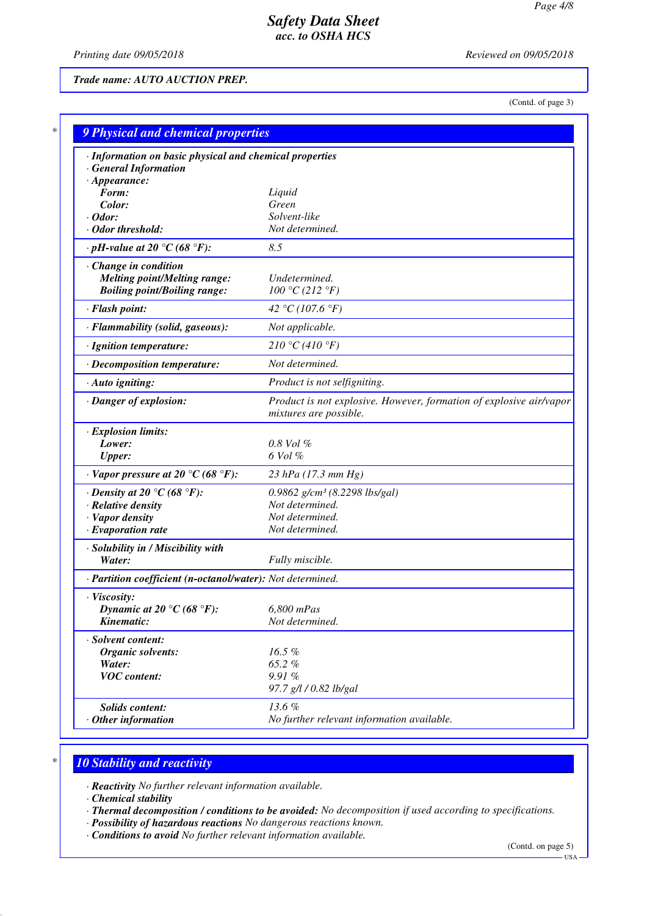*Printing date 09/05/2018 Reviewed on 09/05/2018*

*Trade name: AUTO AUCTION PREP.*

(Contd. of page 3)

| · Information on basic physical and chemical properties<br><b>General Information</b> |                                                                                               |
|---------------------------------------------------------------------------------------|-----------------------------------------------------------------------------------------------|
| $\cdot$ Appearance:                                                                   |                                                                                               |
| Form:                                                                                 | Liquid                                                                                        |
| Color:                                                                                | Green                                                                                         |
| $\cdot$ Odor:                                                                         | Solvent-like                                                                                  |
| $\cdot$ Odor threshold:                                                               | Not determined.                                                                               |
| $\cdot$ pH-value at 20 °C (68 °F):                                                    | 8.5                                                                                           |
| Change in condition                                                                   |                                                                                               |
| <b>Melting point/Melting range:</b>                                                   | Undetermined.                                                                                 |
| <b>Boiling point/Boiling range:</b>                                                   | 100 °C (212 °F)                                                                               |
| · Flash point:                                                                        | 42 °C (107.6 °F)                                                                              |
| · Flammability (solid, gaseous):                                                      | Not applicable.                                                                               |
| · Ignition temperature:                                                               | 210 °C (410 °F)                                                                               |
| · Decomposition temperature:                                                          | Not determined.                                                                               |
| · Auto igniting:                                                                      | Product is not selfigniting.                                                                  |
| · Danger of explosion:                                                                | Product is not explosive. However, formation of explosive air/vapor<br>mixtures are possible. |
| · Explosion limits:                                                                   |                                                                                               |
| Lower:                                                                                | $0.8$ Vol $\%$                                                                                |
| <b>Upper:</b>                                                                         | 6 Vol %                                                                                       |
| $\cdot$ Vapor pressure at 20 °C (68 °F):                                              | $23$ hPa (17.3 mm Hg)                                                                         |
| $\cdot$ Density at 20 °C (68 °F):                                                     | 0.9862 $g/cm^3$ (8.2298 lbs/gal)                                                              |
| · Relative density                                                                    | Not determined.                                                                               |
| · Vapor density                                                                       | Not determined.                                                                               |
| $\cdot$ Evaporation rate                                                              | Not determined.                                                                               |
| · Solubility in / Miscibility with                                                    |                                                                                               |
| Water:                                                                                | Fully miscible.                                                                               |
| · Partition coefficient (n-octanol/water): Not determined.                            |                                                                                               |
| · Viscosity:                                                                          |                                                                                               |
| Dynamic at 20 °C (68 °F):                                                             | 6,800 mPas                                                                                    |
| Kinematic:                                                                            | Not determined.                                                                               |
| · Solvent content:                                                                    |                                                                                               |
| <b>Organic solvents:</b>                                                              | 16.5%                                                                                         |
| Water:                                                                                | 65.2%                                                                                         |
| <b>VOC</b> content:                                                                   | 9.91%                                                                                         |
|                                                                                       | 97.7 g/l / 0.82 lb/gal                                                                        |
| Solids content:                                                                       | 13.6%                                                                                         |
| $·$ Other information                                                                 | No further relevant information available.                                                    |

# *\* 10 Stability and reactivity*

*· Reactivity No further relevant information available.*

*· Chemical stability*

*· Thermal decomposition / conditions to be avoided: No decomposition if used according to specifications.*

- *· Possibility of hazardous reactions No dangerous reactions known.*
- *· Conditions to avoid No further relevant information available.*

(Contd. on page 5)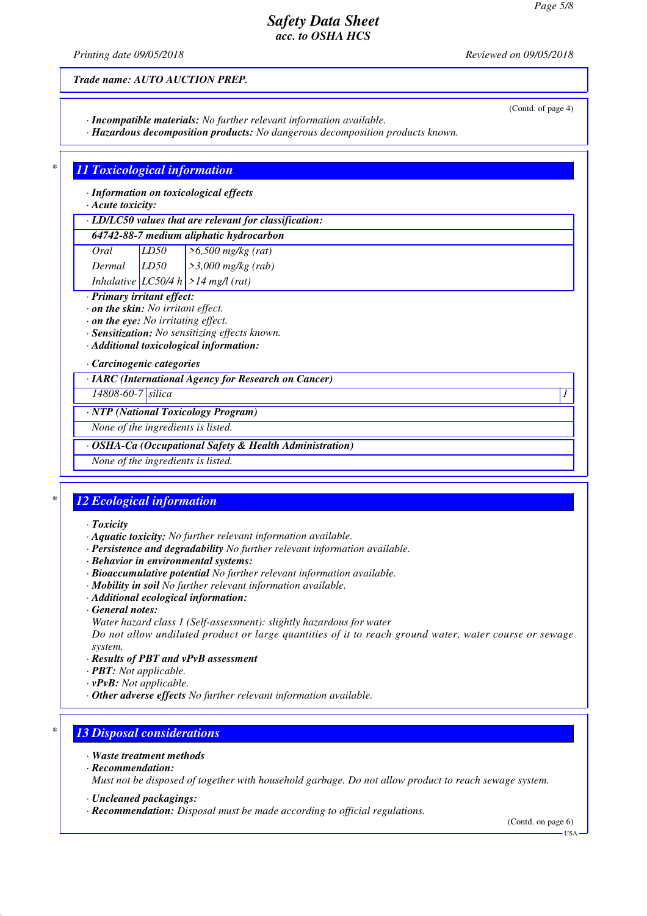*Printing date 09/05/2018 Reviewed on 09/05/2018*

(Contd. of page 4)

*Trade name: AUTO AUCTION PREP.*

*· Incompatible materials: No further relevant information available.*

*· Hazardous decomposition products: No dangerous decomposition products known.*

### *\* 11 Toxicological information*

*· Information on toxicological effects*

*· Acute toxicity:*

#### *· LD/LC50 values that are relevant for classification:*

#### *64742-88-7 medium aliphatic hydrocarbon*

*Oral LD50 >6,500 mg/kg (rat) Dermal LD50 >3,000 mg/kg (rab) Inhalative LC50/4 h >14 mg/l (rat)*

*· Primary irritant effect:*

- *· on the skin: No irritant effect.*
- *· on the eye: No irritating effect.*
- *· Sensitization: No sensitizing effects known.*

*· Additional toxicological information:*

*· Carcinogenic categories*

*· IARC (International Agency for Research on Cancer)*

*14808-60-7 silica 1* 

#### *· NTP (National Toxicology Program)*

*None of the ingredients is listed.*

#### *· OSHA-Ca (Occupational Safety & Health Administration)*

*None of the ingredients is listed.*

## *\* 12 Ecological information*

- *· Toxicity*
- *· Aquatic toxicity: No further relevant information available.*
- *· Persistence and degradability No further relevant information available.*
- *· Behavior in environmental systems:*
- *· Bioaccumulative potential No further relevant information available.*
- *· Mobility in soil No further relevant information available.*
- *· Additional ecological information:*
- *· General notes:*
- *Water hazard class 1 (Self-assessment): slightly hazardous for water*

*Do not allow undiluted product or large quantities of it to reach ground water, water course or sewage system.*

- *· Results of PBT and vPvB assessment*
- *· PBT: Not applicable.*
- *· vPvB: Not applicable.*
- *· Other adverse effects No further relevant information available.*

### *\* 13 Disposal considerations*

- *· Waste treatment methods*
- *· Recommendation:*

*Must not be disposed of together with household garbage. Do not allow product to reach sewage system.*

- *· Uncleaned packagings:*
- *· Recommendation: Disposal must be made according to official regulations.*

(Contd. on page 6) USA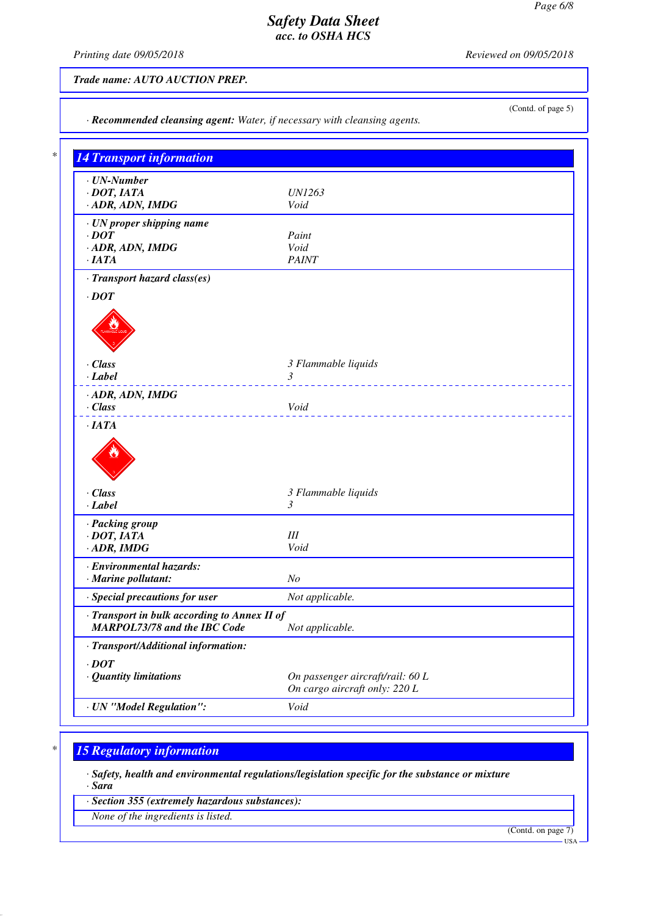*· Recommended cleansing agent: Water, if necessary with cleansing agents.*

*Printing date 09/05/2018 Reviewed on 09/05/2018*

*Trade name: AUTO AUCTION PREP.*

(Contd. of page 5)

| $\cdot$ UN-Number                                                            |                                  |
|------------------------------------------------------------------------------|----------------------------------|
| $\cdot$ DOT, IATA                                                            | <i>UN1263</i>                    |
| · ADR, ADN, IMDG                                                             | Void                             |
| · UN proper shipping name                                                    |                                  |
| $\cdot$ <i>DOT</i>                                                           | Paint                            |
| · ADR, ADN, IMDG                                                             | Void                             |
| ·IATA                                                                        | <b>PAINT</b>                     |
| · Transport hazard class(es)                                                 |                                  |
| $\cdot$ DOT                                                                  |                                  |
|                                                                              |                                  |
|                                                                              |                                  |
|                                                                              |                                  |
| · Class                                                                      | 3 Flammable liquids              |
| $-Label$                                                                     | 3                                |
|                                                                              | ____________________________     |
| · ADR, ADN, IMDG<br>$\cdot$ Class                                            | Void                             |
| ·IATA                                                                        |                                  |
| · Class<br>$\cdot$ Label                                                     | 3 Flammable liquids<br>3         |
| · Packing group                                                              |                                  |
| $\cdot$ DOT, IATA                                                            | III                              |
| $\cdot$ ADR, IMDG                                                            | Void                             |
|                                                                              |                                  |
| · Environmental hazards:<br>$\cdot$ Marine pollutant:                        | N <sub>O</sub>                   |
|                                                                              |                                  |
| · Special precautions for user                                               | Not applicable.                  |
| · Transport in bulk according to Annex II of<br>MARPOL73/78 and the IBC Code | Not applicable.                  |
|                                                                              |                                  |
|                                                                              |                                  |
| · Transport/Additional information:                                          |                                  |
| $\cdot$ DOT<br>· Quantity limitations                                        | On passenger aircraft/rail: 60 L |

# *\* 15 Regulatory information*

*· Safety, health and environmental regulations/legislation specific for the substance or mixture · Sara*

*· Section 355 (extremely hazardous substances):*

*None of the ingredients is listed.*

(Contd. on page 7)

USA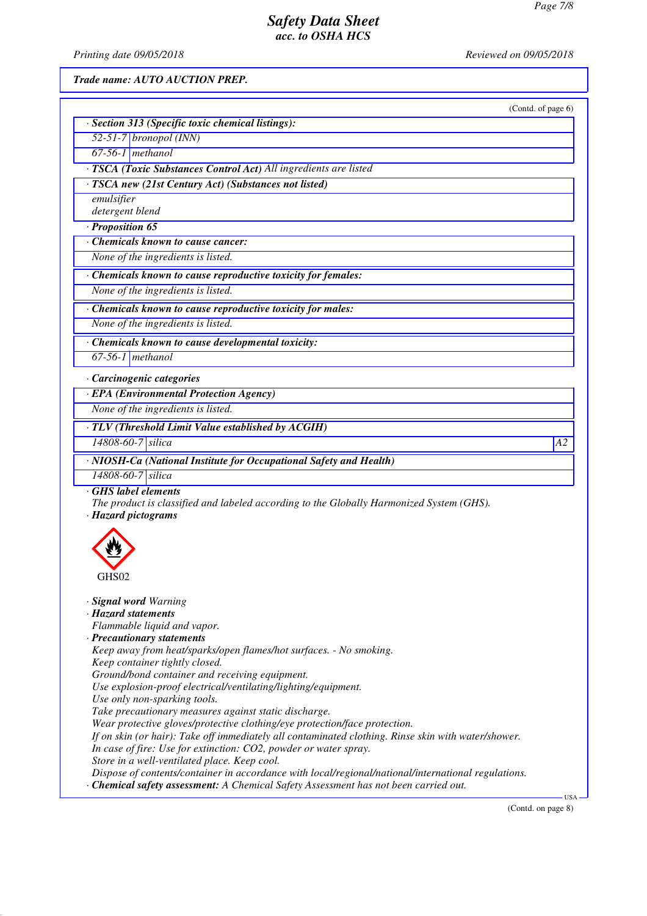*Printing date 09/05/2018 Reviewed on 09/05/2018*

*Trade name: AUTO AUCTION PREP.*

|                                                                                                                                                                                                                                                                                                       | (Contd. of page 6) |
|-------------------------------------------------------------------------------------------------------------------------------------------------------------------------------------------------------------------------------------------------------------------------------------------------------|--------------------|
| · Section 313 (Specific toxic chemical listings):                                                                                                                                                                                                                                                     |                    |
| $52-51-7$ bronopol (INN)                                                                                                                                                                                                                                                                              |                    |
| $67-56-1$ methanol                                                                                                                                                                                                                                                                                    |                    |
| · TSCA (Toxic Substances Control Act) All ingredients are listed                                                                                                                                                                                                                                      |                    |
| · TSCA new (21st Century Act) (Substances not listed)                                                                                                                                                                                                                                                 |                    |
| emulsifier                                                                                                                                                                                                                                                                                            |                    |
| detergent blend                                                                                                                                                                                                                                                                                       |                    |
| · Proposition 65                                                                                                                                                                                                                                                                                      |                    |
| Chemicals known to cause cancer:                                                                                                                                                                                                                                                                      |                    |
| None of the ingredients is listed.                                                                                                                                                                                                                                                                    |                    |
| · Chemicals known to cause reproductive toxicity for females:                                                                                                                                                                                                                                         |                    |
| None of the ingredients is listed.                                                                                                                                                                                                                                                                    |                    |
| · Chemicals known to cause reproductive toxicity for males:                                                                                                                                                                                                                                           |                    |
| None of the ingredients is listed.                                                                                                                                                                                                                                                                    |                    |
| · Chemicals known to cause developmental toxicity:                                                                                                                                                                                                                                                    |                    |
| $67-56-1$ methanol                                                                                                                                                                                                                                                                                    |                    |
| · Carcinogenic categories                                                                                                                                                                                                                                                                             |                    |
| · EPA (Environmental Protection Agency)                                                                                                                                                                                                                                                               |                    |
| None of the ingredients is listed.                                                                                                                                                                                                                                                                    |                    |
| · TLV (Threshold Limit Value established by ACGIH)                                                                                                                                                                                                                                                    |                    |
| 14808-60-7 silica                                                                                                                                                                                                                                                                                     | A2                 |
| · NIOSH-Ca (National Institute for Occupational Safety and Health)                                                                                                                                                                                                                                    |                    |
| 14808-60-7 silica                                                                                                                                                                                                                                                                                     |                    |
| GHS label elements<br>The product is classified and labeled according to the Globally Harmonized System (GHS).<br>· Hazard pictograms                                                                                                                                                                 |                    |
|                                                                                                                                                                                                                                                                                                       |                    |
|                                                                                                                                                                                                                                                                                                       |                    |
|                                                                                                                                                                                                                                                                                                       |                    |
|                                                                                                                                                                                                                                                                                                       |                    |
|                                                                                                                                                                                                                                                                                                       |                    |
|                                                                                                                                                                                                                                                                                                       |                    |
|                                                                                                                                                                                                                                                                                                       |                    |
| Ground/bond container and receiving equipment.                                                                                                                                                                                                                                                        |                    |
|                                                                                                                                                                                                                                                                                                       |                    |
| Use explosion-proof electrical/ventilating/lighting/equipment.<br>Use only non-sparking tools.                                                                                                                                                                                                        |                    |
| Take precautionary measures against static discharge.                                                                                                                                                                                                                                                 |                    |
| Wear protective gloves/protective clothing/eye protection/face protection.                                                                                                                                                                                                                            |                    |
|                                                                                                                                                                                                                                                                                                       |                    |
| Flammable liquid and vapor.<br>Keep away from heat/sparks/open flames/hot surfaces. - No smoking.<br>Keep container tightly closed.<br>If on skin (or hair): Take off immediately all contaminated clothing. Rinse skin with water/shower.                                                            |                    |
| · Signal word Warning<br>· Hazard statements<br>· Precautionary statements<br>In case of fire: Use for extinction: CO2, powder or water spray.<br>Store in a well-ventilated place. Keep cool.<br>Dispose of contents/container in accordance with local/regional/national/international regulations. |                    |